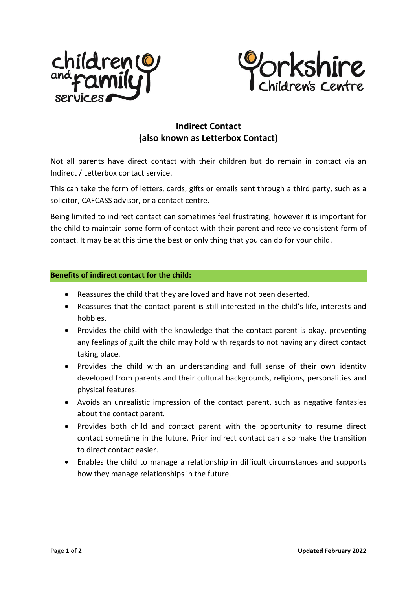



## **Indirect Contact (also known as Letterbox Contact)**

Not all parents have direct contact with their children but do remain in contact via an Indirect / Letterbox contact service.

This can take the form of letters, cards, gifts or emails sent through a third party, such as a solicitor, CAFCASS advisor, or a contact centre.

Being limited to indirect contact can sometimes feel frustrating, however it is important for the child to maintain some form of contact with their parent and receive consistent form of contact. It may be at this time the best or only thing that you can do for your child.

## **Benefits of indirect contact for the child:**

- Reassures the child that they are loved and have not been deserted.
- Reassures that the contact parent is still interested in the child's life, interests and hobbies.
- Provides the child with the knowledge that the contact parent is okay, preventing any feelings of guilt the child may hold with regards to not having any direct contact taking place.
- Provides the child with an understanding and full sense of their own identity developed from parents and their cultural backgrounds, religions, personalities and physical features.
- Avoids an unrealistic impression of the contact parent, such as negative fantasies about the contact parent.
- Provides both child and contact parent with the opportunity to resume direct contact sometime in the future. Prior indirect contact can also make the transition to direct contact easier.
- Enables the child to manage a relationship in difficult circumstances and supports how they manage relationships in the future.